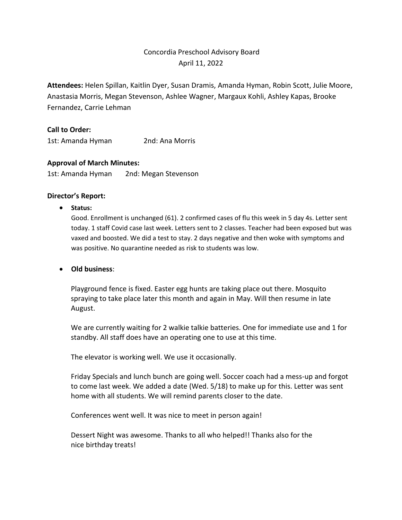# Concordia Preschool Advisory Board April 11, 2022

**Attendees:** Helen Spillan, Kaitlin Dyer, Susan Dramis, Amanda Hyman, Robin Scott, Julie Moore, Anastasia Morris, Megan Stevenson, Ashlee Wagner, Margaux Kohli, Ashley Kapas, Brooke Fernandez, Carrie Lehman

### **Call to Order:**

1st: Amanda Hyman 2nd: Ana Morris

### **Approval of March Minutes:**

1st: Amanda Hyman 2nd: Megan Stevenson

#### **Director's Report:**

• **Status:** 

Good. Enrollment is unchanged (61). 2 confirmed cases of flu this week in 5 day 4s. Letter sent today. 1 staff Covid case last week. Letters sent to 2 classes. Teacher had been exposed but was vaxed and boosted. We did a test to stay. 2 days negative and then woke with symptoms and was positive. No quarantine needed as risk to students was low.

### • **Old business**:

Playground fence is fixed. Easter egg hunts are taking place out there. Mosquito spraying to take place later this month and again in May. Will then resume in late August.

We are currently waiting for 2 walkie talkie batteries. One for immediate use and 1 for standby. All staff does have an operating one to use at this time.

The elevator is working well. We use it occasionally.

Friday Specials and lunch bunch are going well. Soccer coach had a mess-up and forgot to come last week. We added a date (Wed. 5/18) to make up for this. Letter was sent home with all students. We will remind parents closer to the date.

Conferences went well. It was nice to meet in person again!

Dessert Night was awesome. Thanks to all who helped!! Thanks also for the nice birthday treats!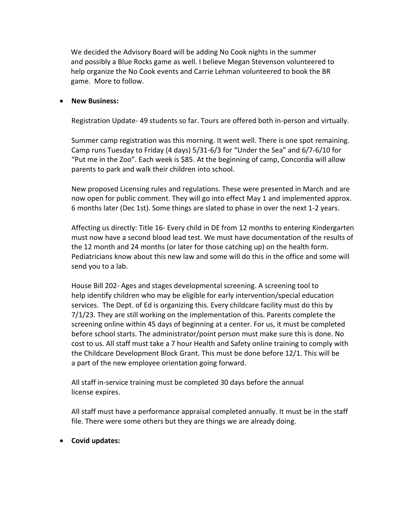We decided the Advisory Board will be adding No Cook nights in the summer and possibly a Blue Rocks game as well. I believe Megan Stevenson volunteered to help organize the No Cook events and Carrie Lehman volunteered to book the BR game. More to follow.

#### • **New Business:**

Registration Update- 49 students so far. Tours are offered both in-person and virtually.

Summer camp registration was this morning. It went well. There is one spot remaining. Camp runs Tuesday to Friday (4 days) 5/31-6/3 for "Under the Sea" and 6/7-6/10 for "Put me in the Zoo". Each week is \$85. At the beginning of camp, Concordia will allow parents to park and walk their children into school.

New proposed Licensing rules and regulations. These were presented in March and are now open for public comment. They will go into effect May 1 and implemented approx. 6 months later (Dec 1st). Some things are slated to phase in over the next 1-2 years.

Affecting us directly: Title 16- Every child in DE from 12 months to entering Kindergarten must now have a second blood lead test. We must have documentation of the results of the 12 month and 24 months (or later for those catching up) on the health form. Pediatricians know about this new law and some will do this in the office and some will send you to a lab.

House Bill 202- Ages and stages developmental screening. A screening tool to help identify children who may be eligible for early intervention/special education services. The Dept. of Ed is organizing this. Every childcare facility must do this by 7/1/23. They are still working on the implementation of this. Parents complete the screening online within 45 days of beginning at a center. For us, it must be completed before school starts. The administrator/point person must make sure this is done. No cost to us. All staff must take a 7 hour Health and Safety online training to comply with the Childcare Development Block Grant. This must be done before 12/1. This will be a part of the new employee orientation going forward.

All staff in-service training must be completed 30 days before the annual license expires.

All staff must have a performance appraisal completed annually. It must be in the staff file. There were some others but they are things we are already doing.

• **Covid updates:**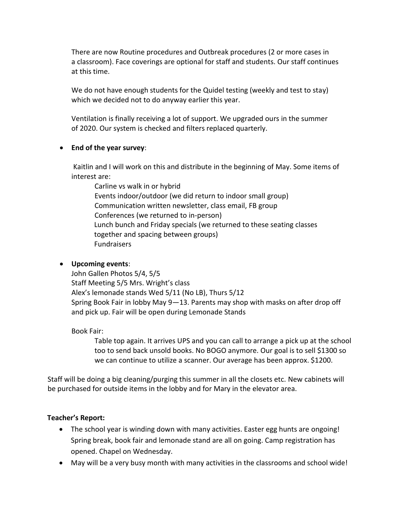There are now Routine procedures and Outbreak procedures (2 or more cases in a classroom). Face coverings are optional for staff and students. Our staff continues at this time.

We do not have enough students for the Quidel testing (weekly and test to stay) which we decided not to do anyway earlier this year.

Ventilation is finally receiving a lot of support. We upgraded ours in the summer of 2020. Our system is checked and filters replaced quarterly.

# • **End of the year survey**:

Kaitlin and I will work on this and distribute in the beginning of May. Some items of interest are:

Carline vs walk in or hybrid Events indoor/outdoor (we did return to indoor small group) Communication written newsletter, class email, FB group Conferences (we returned to in-person) Lunch bunch and Friday specials (we returned to these seating classes together and spacing between groups) Fundraisers

# • **Upcoming events**:

John Gallen Photos 5/4, 5/5 Staff Meeting 5/5 Mrs. Wright's class Alex's lemonade stands Wed 5/11 (No LB), Thurs 5/12 Spring Book Fair in lobby May 9—13. Parents may shop with masks on after drop off and pick up. Fair will be open during Lemonade Stands

Book Fair:

Table top again. It arrives UPS and you can call to arrange a pick up at the school too to send back unsold books. No BOGO anymore. Our goal is to sell \$1300 so we can continue to utilize a scanner. Our average has been approx. \$1200.

Staff will be doing a big cleaning/purging this summer in all the closets etc. New cabinets will be purchased for outside items in the lobby and for Mary in the elevator area.

### **Teacher's Report:**

- The school year is winding down with many activities. Easter egg hunts are ongoing! Spring break, book fair and lemonade stand are all on going. Camp registration has opened. Chapel on Wednesday.
- May will be a very busy month with many activities in the classrooms and school wide!